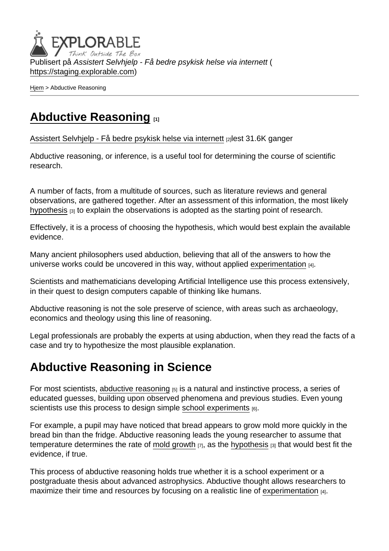Publisert på Assistert Selvhjelp - Få bedre psykisk helse via internett ( <https://staging.explorable.com>)

[Hjem](https://staging.explorable.com/) > Abductive Reasoning

## [Abductive Reasoning](https://staging.explorable.com/abductive-reasoning) [1]

[Assistert Selvhjelp - Få bedre psykisk helse via internett](https://staging.explorable.com/en) [2]lest 31.6K ganger

Abductive reasoning, or inference, is a useful tool for determining the course of scientific research.

A number of facts, from a multitude of sources, such as literature reviews and general observations, are gathered together. After an assessment of this information, the most likely [hypothesis](https://staging.explorable.com/research-hypothesis) [3] to explain the observations is adopted as the starting point of research.

Effectively, it is a process of choosing the hypothesis, which would best explain the available evidence.

Many ancient philosophers used abduction, believing that all of the answers to how the universe works could be uncovered in this way, without applied [experimentation](https://staging.explorable.com/conducting-an-experiment)  $H_1$ .

Scientists and mathematicians developing Artificial Intelligence use this process extensively, in their quest to design computers capable of thinking like humans.

Abductive reasoning is not the sole preserve of science, with areas such as archaeology, economics and theology using this line of reasoning.

Legal professionals are probably the experts at using abduction, when they read the facts of a case and try to hypothesize the most plausible explanation.

## Abductive Reasoning in Science

For most scientists, [abductive reasoning](http://user.uni-frankfurt.de/~wirth/inferenc.htm) [5] is a natural and instinctive process, a series of educated guesses, building upon observed phenomena and previous studies. Even young scientists use this process to design simple [school experiments](https://staging.explorable.com/kids-science-projects) [6].

For example, a pupil may have noticed that bread appears to grow mold more quickly in the bread bin than the fridge. Abductive reasoning leads the young researcher to assume that temperature determines the rate of [mold growth](https://staging.explorable.com/mold-bread-experiment)  $[7]$ , as the [hypothesis](https://staging.explorable.com/research-hypothesis)  $[3]$  that would best fit the evidence, if true.

This process of abductive reasoning holds true whether it is a school experiment or a postgraduate thesis about advanced astrophysics. Abductive thought allows researchers to maximize their time and resources by focusing on a realistic line of [experimentation](https://staging.explorable.com/conducting-an-experiment) [4].